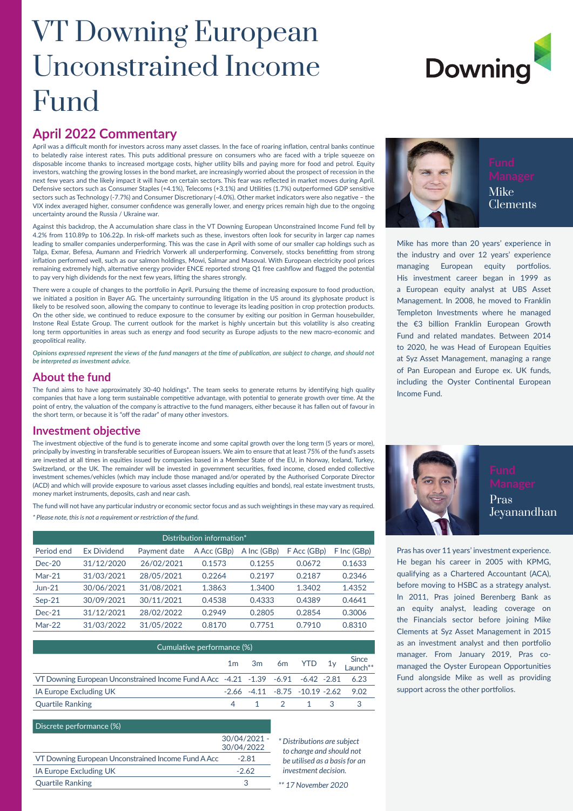## VT Downing European Unconstrained Income Fund

# **Downing**

#### **April 2022 Commentary**

April was a difficult month for investors across many asset classes. In the face of roaring inflation, central banks continue to belatedly raise interest rates. This puts additional pressure on consumers who are faced with a triple squeeze on disposable income thanks to increased mortgage costs, higher utility bills and paying more for food and petrol. Equity investors, watching the growing losses in the bond market, are increasingly worried about the prospect of recession in the next few years and the likely impact it will have on certain sectors. This fear was reflected in market moves during April. Defensive sectors such as Consumer Staples (+4.1%), Telecoms (+3.1%) and Utilities (1.7%) outperformed GDP sensitive sectors such as Technology (-7.7%) and Consumer Discretionary (-4.0%). Other market indicators were also negative – the VIX index averaged higher, consumer confidence was generally lower, and energy prices remain high due to the ongoing uncertainty around the Russia / Ukraine war.

Against this backdrop, the A accumulation share class in the VT Downing European Unconstrained Income Fund fell by 4.2% from 110.89p to 106.22p. In risk-off markets such as these, investors often look for security in larger cap names leading to smaller companies underperforming. This was the case in April with some of our smaller cap holdings such as Talga, Exmar, Befesa, Aumann and Friedrich Vorwerk all underperforming. Conversely, stocks benefitting from strong inflation performed well, such as our salmon holdings, Mowi, Salmar and Masoval. With European electricity pool prices remaining extremely high, alternative energy provider ENCE reported strong Q1 free cashflow and flagged the potential to pay very high dividends for the next few years, lifting the shares strongly.

There were a couple of changes to the portfolio in April. Pursuing the theme of increasing exposure to food production, we initiated a position in Bayer AG. The uncertainty surrounding litigation in the US around its glyphosate product is likely to be resolved soon, allowing the company to continue to leverage its leading position in crop protection products. On the other side, we continued to reduce exposure to the consumer by exiting our position in German housebuilder, Instone Real Estate Group. The current outlook for the market is highly uncertain but this volatility is also creating long term opportunities in areas such as energy and food security as Europe adjusts to the new macro-economic and geopolitical reality.

*Opinions expressed represent the views of the fund managers at the time of publication, are subject to change, and should not be interpreted as investment advice.*

#### **About the fund**

The fund aims to have approximately 30-40 holdings\*. The team seeks to generate returns by identifying high quality companies that have a long term sustainable competitive advantage, with potential to generate growth over time. At the point of entry, the valuation of the company is attractive to the fund managers, either because it has fallen out of favour in the short term, or because it is "off the radar" of many other investors.

#### **Investment objective**

The investment objective of the fund is to generate income and some capital growth over the long term (5 years or more), principally by investing in transferable securities of European issuers. We aim to ensure that at least 75% of the fund's assets are invested at all times in equities issued by companies based in a Member State of the EU, in Norway, Iceland, Turkey, Switzerland, or the UK. The remainder will be invested in government securities, fixed income, closed ended collective investment schemes/vehicles (which may include those managed and/or operated by the Authorised Corporate Director (ACD) and which will provide exposure to various asset classes including equities and bonds), real estate investment trusts, money market instruments, deposits, cash and near cash.

The fund will not have any particular industry or economic sector focus and as such weightings in these may vary as required. *\* Please note, this is not a requirement or restriction of the fund.*

| Distribution information* |                    |              |             |             |             |             |  |  |
|---------------------------|--------------------|--------------|-------------|-------------|-------------|-------------|--|--|
| Period end                | <b>Ex Dividend</b> | Payment date | A Acc (GBp) | A Inc (GBp) | F Acc (GBp) | F Inc (GBp) |  |  |
| $Dec-20$                  | 31/12/2020         | 26/02/2021   | 0.1573      | 0.1255      | 0.0672      | 0.1633      |  |  |
| $Mar-21$                  | 31/03/2021         | 28/05/2021   | 0.2264      | 0.2197      | 0.2187      | 0.2346      |  |  |
| $Jun-21$                  | 30/06/2021         | 31/08/2021   | 1.3863      | 1.3400      | 1.3402      | 1.4352      |  |  |
| $Sep-21$                  | 30/09/2021         | 30/11/2021   | 0.4538      | 0.4333      | 0.4389      | 0.4641      |  |  |
| $Dec-21$                  | 31/12/2021         | 28/02/2022   | 0.2949      | 0.2805      | 0.2854      | 0.3006      |  |  |
| $Mar-22$                  | 31/03/2022         | 31/05/2022   | 0.8170      | 0.7751      | 0.7910      | 0.8310      |  |  |

| Cumulative performance (%)                                                             |  |  |  |           |  |                                               |  |
|----------------------------------------------------------------------------------------|--|--|--|-----------|--|-----------------------------------------------|--|
|                                                                                        |  |  |  |           |  | 1m 3m 6m YTD 1y Since                         |  |
| VT Downing European Unconstrained Income Fund A Acc -4.21 -1.39 -6.91 -6.42 -2.81 6.23 |  |  |  |           |  |                                               |  |
| <b>IA Europe Excluding UK</b>                                                          |  |  |  |           |  | $-2.66$ $-4.11$ $-8.75$ $-10.19$ $-2.62$ 9.02 |  |
| <b>Quartile Ranking</b>                                                                |  |  |  | 4 1 2 1 3 |  |                                               |  |

 $30/04/000$ 

#### Discrete performance (%)

|                                                     | 30/04/2021 -<br>30/04/2022 |
|-----------------------------------------------------|----------------------------|
| VT Downing European Unconstrained Income Fund A Acc | $-2.81$                    |
| IA Europe Excluding UK                              | $-2.62$                    |
| <b>Quartile Ranking</b>                             | ↷                          |

*\* Distributions are subject to change and should not be utilised as a basis for an investment decision.*





Clements

Mike has more than 20 years' experience in the industry and over 12 years' experience managing European equity portfolios. His investment career began in 1999 as a European equity analyst at UBS Asset Management. In 2008, he moved to Franklin Templeton Investments where he managed the €3 billion Franklin European Growth Fund and related mandates. Between 2014 to 2020, he was Head of European Equities at Syz Asset Management, managing a range of Pan European and Europe ex. UK funds, including the Oyster Continental European Income Fund.



Pras has over 11 years' investment experience. He began his career in 2005 with KPMG, qualifying as a Chartered Accountant (ACA), before moving to HSBC as a strategy analyst. In 2011, Pras joined Berenberg Bank as an equity analyst, leading coverage on the Financials sector before joining Mike Clements at Syz Asset Management in 2015 as an investment analyst and then portfolio manager. From January 2019, Pras comanaged the Oyster European Opportunities Fund alongside Mike as well as providing support across the other portfolios.